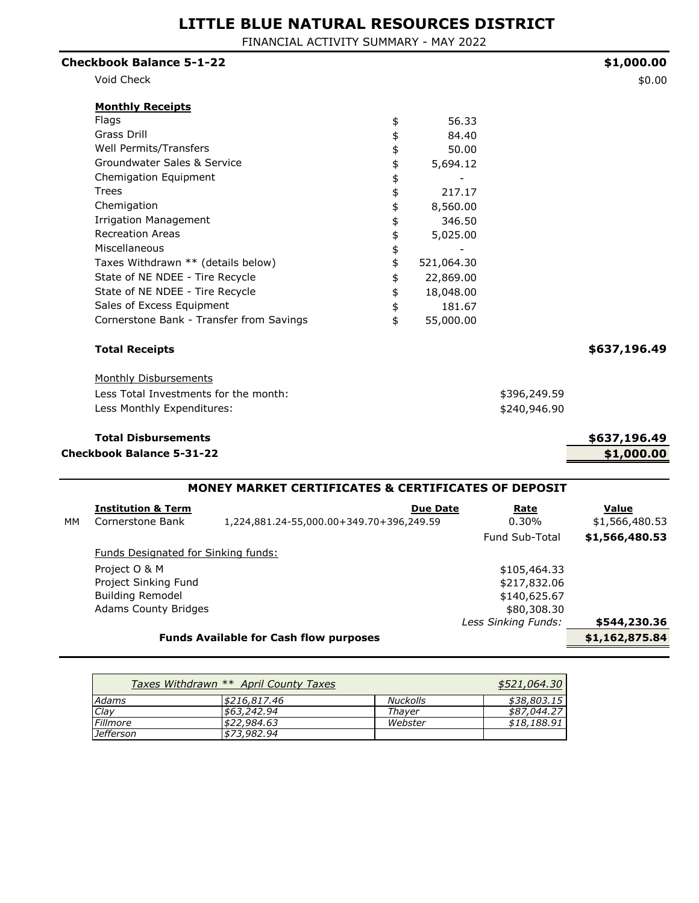FINANCIAL ACTIVITY SUMMARY - MAY 2022

| <b>Checkbook Balance 5-1-22</b>          |                  |              | \$1,000.00   |
|------------------------------------------|------------------|--------------|--------------|
| Void Check                               |                  |              | \$0.00       |
| <b>Monthly Receipts</b>                  |                  |              |              |
| Flags                                    | \$<br>56.33      |              |              |
| Grass Drill                              | \$<br>84.40      |              |              |
| Well Permits/Transfers                   | \$<br>50.00      |              |              |
| Groundwater Sales & Service              | \$<br>5,694.12   |              |              |
| Chemigation Equipment                    | \$               |              |              |
| Trees                                    | \$<br>217.17     |              |              |
| Chemigation                              | \$<br>8,560.00   |              |              |
| <b>Irrigation Management</b>             | \$<br>346.50     |              |              |
| <b>Recreation Areas</b>                  | \$<br>5,025.00   |              |              |
| Miscellaneous                            | \$               |              |              |
| Taxes Withdrawn ** (details below)       | \$<br>521,064.30 |              |              |
| State of NE NDEE - Tire Recycle          | \$<br>22,869.00  |              |              |
| State of NE NDEE - Tire Recycle          | \$<br>18,048.00  |              |              |
| Sales of Excess Equipment                | \$<br>181.67     |              |              |
| Cornerstone Bank - Transfer from Savings | \$<br>55,000.00  |              |              |
| <b>Total Receipts</b>                    |                  |              | \$637,196.49 |
| <b>Monthly Disbursements</b>             |                  |              |              |
| Less Total Investments for the month:    |                  | \$396,249.59 |              |
| Less Monthly Expenditures:               |                  | \$240,946.90 |              |
| <b>Total Disbursements</b>               |                  |              | \$637,196.49 |
| <b>Checkbook Balance 5-31-22</b>         |                  |              | \$1,000.00   |
|                                          |                  |              |              |

|    | MONEY MARKET CERTIFICATES & CERTIFICATES OF DEPOSIT |                                          |                       |                |  |  |
|----|-----------------------------------------------------|------------------------------------------|-----------------------|----------------|--|--|
|    | <b>Institution &amp; Term</b>                       | <b>Due Date</b>                          | Rate                  | Value          |  |  |
| MМ | Cornerstone Bank                                    | 1,224,881.24-55,000.00+349.70+396,249.59 | $0.30\%$              | \$1,566,480.53 |  |  |
|    |                                                     |                                          | <b>Fund Sub-Total</b> | \$1,566,480.53 |  |  |
|    | <b>Funds Designated for Sinking funds:</b>          |                                          |                       |                |  |  |
|    | Project O & M                                       |                                          | \$105,464.33          |                |  |  |
|    | Project Sinking Fund                                |                                          | \$217,832.06          |                |  |  |
|    | <b>Building Remodel</b>                             |                                          | \$140,625.67          |                |  |  |
|    | <b>Adams County Bridges</b>                         |                                          | \$80,308.30           |                |  |  |
|    |                                                     |                                          | Less Sinking Funds:   | \$544,230.36   |  |  |
|    | \$1,162,875.84                                      |                                          |                       |                |  |  |
|    |                                                     |                                          |                       |                |  |  |

|                  | Taxes Withdrawn ** April County Taxes |                 | \$521,064.30 |
|------------------|---------------------------------------|-----------------|--------------|
| Adams            | \$216,817,46                          | <b>Nuckolls</b> | \$38,803.15  |
| Clay             | \$63,242,94                           | Thaver          | \$87,044.27  |
| Fillmore         | \$22,984.63                           | Webster         | \$18,188.91  |
| <b>Jefferson</b> | \$73,982,94                           |                 |              |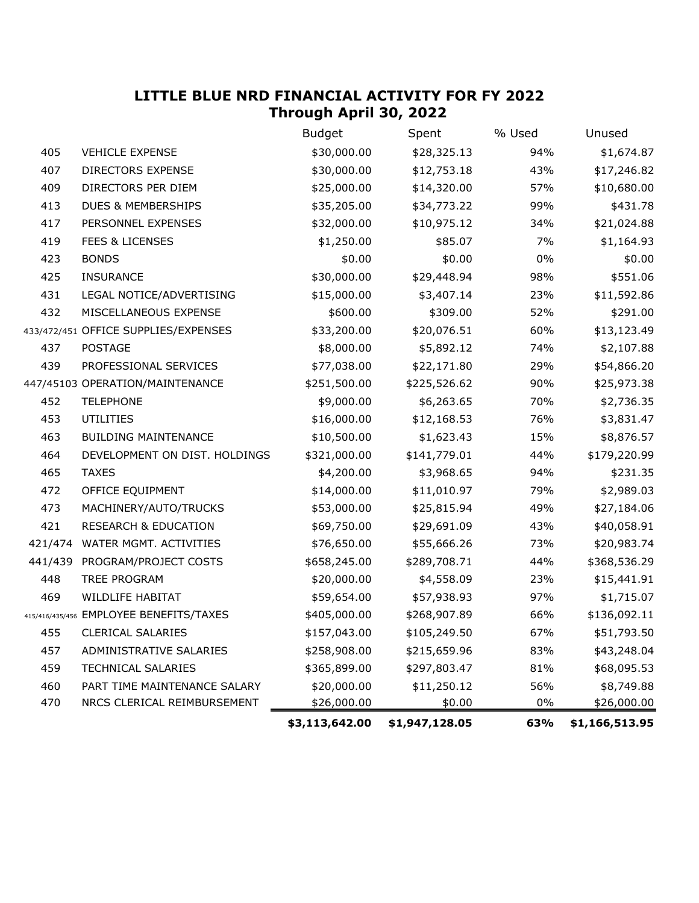## **LITTLE BLUE NRD FINANCIAL ACTIVITY FOR FY 2022 Through April 30, 2022**

|         |                                         | <b>Budget</b>  | Spent          | % Used | Unused         |
|---------|-----------------------------------------|----------------|----------------|--------|----------------|
| 405     | <b>VEHICLE EXPENSE</b>                  | \$30,000.00    | \$28,325.13    | 94%    | \$1,674.87     |
| 407     | <b>DIRECTORS EXPENSE</b>                | \$30,000.00    | \$12,753.18    | 43%    | \$17,246.82    |
| 409     | DIRECTORS PER DIEM                      | \$25,000.00    | \$14,320.00    | 57%    | \$10,680.00    |
| 413     | <b>DUES &amp; MEMBERSHIPS</b>           | \$35,205.00    | \$34,773.22    | 99%    | \$431.78       |
| 417     | PERSONNEL EXPENSES                      | \$32,000.00    | \$10,975.12    | 34%    | \$21,024.88    |
| 419     | <b>FEES &amp; LICENSES</b>              | \$1,250.00     | \$85.07        | 7%     | \$1,164.93     |
| 423     | <b>BONDS</b>                            | \$0.00         | \$0.00         | $0\%$  | \$0.00         |
| 425     | <b>INSURANCE</b>                        | \$30,000.00    | \$29,448.94    | 98%    | \$551.06       |
| 431     | LEGAL NOTICE/ADVERTISING                | \$15,000.00    | \$3,407.14     | 23%    | \$11,592.86    |
| 432     | MISCELLANEOUS EXPENSE                   | \$600.00       | \$309.00       | 52%    | \$291.00       |
|         | 433/472/451 OFFICE SUPPLIES/EXPENSES    | \$33,200.00    | \$20,076.51    | 60%    | \$13,123.49    |
| 437     | <b>POSTAGE</b>                          | \$8,000.00     | \$5,892.12     | 74%    | \$2,107.88     |
| 439     | PROFESSIONAL SERVICES                   | \$77,038.00    | \$22,171.80    | 29%    | \$54,866.20    |
|         | 447/45103 OPERATION/MAINTENANCE         | \$251,500.00   | \$225,526.62   | 90%    | \$25,973.38    |
| 452     | <b>TELEPHONE</b>                        | \$9,000.00     | \$6,263.65     | 70%    | \$2,736.35     |
| 453     | <b>UTILITIES</b>                        | \$16,000.00    | \$12,168.53    | 76%    | \$3,831.47     |
| 463     | <b>BUILDING MAINTENANCE</b>             | \$10,500.00    | \$1,623.43     | 15%    | \$8,876.57     |
| 464     | DEVELOPMENT ON DIST. HOLDINGS           | \$321,000.00   | \$141,779.01   | 44%    | \$179,220.99   |
| 465     | <b>TAXES</b>                            | \$4,200.00     | \$3,968.65     | 94%    | \$231.35       |
| 472     | OFFICE EQUIPMENT                        | \$14,000.00    | \$11,010.97    | 79%    | \$2,989.03     |
| 473     | MACHINERY/AUTO/TRUCKS                   | \$53,000.00    | \$25,815.94    | 49%    | \$27,184.06    |
| 421     | <b>RESEARCH &amp; EDUCATION</b>         | \$69,750.00    | \$29,691.09    | 43%    | \$40,058.91    |
| 421/474 | WATER MGMT. ACTIVITIES                  | \$76,650.00    | \$55,666.26    | 73%    | \$20,983.74    |
| 441/439 | PROGRAM/PROJECT COSTS                   | \$658,245.00   | \$289,708.71   | 44%    | \$368,536.29   |
| 448     | TREE PROGRAM                            | \$20,000.00    | \$4,558.09     | 23%    | \$15,441.91    |
| 469     | <b>WILDLIFE HABITAT</b>                 | \$59,654.00    | \$57,938.93    | 97%    | \$1,715.07     |
|         | 415/416/435/456 EMPLOYEE BENEFITS/TAXES | \$405,000.00   | \$268,907.89   | 66%    | \$136,092.11   |
| 455     | <b>CLERICAL SALARIES</b>                | \$157,043.00   | \$105,249.50   | 67%    | \$51,793.50    |
| 457     | ADMINISTRATIVE SALARIES                 | \$258,908.00   | \$215,659.96   | 83%    | \$43,248.04    |
| 459     | <b>TECHNICAL SALARIES</b>               | \$365,899.00   | \$297,803.47   | 81%    | \$68,095.53    |
| 460     | PART TIME MAINTENANCE SALARY            | \$20,000.00    | \$11,250.12    | 56%    | \$8,749.88     |
| 470     | NRCS CLERICAL REIMBURSEMENT             | \$26,000.00    | \$0.00         | $0\%$  | \$26,000.00    |
|         |                                         | \$3,113,642.00 | \$1,947,128.05 | 63%    | \$1,166,513.95 |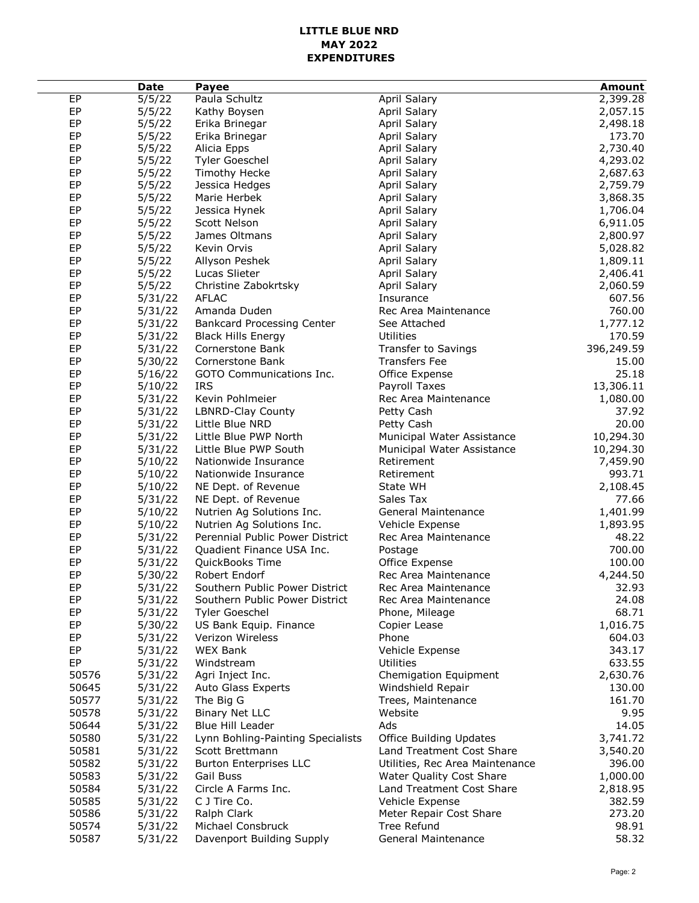#### **LITTLE BLUE NRD MAY 2022 EXPENDITURES**

|       | <b>Date</b> | Payee                             |                                 | <b>Amount</b> |
|-------|-------------|-----------------------------------|---------------------------------|---------------|
| EP    | 5/5/22      | Paula Schultz                     | April Salary                    | 2,399.28      |
| EP    | 5/5/22      | Kathy Boysen                      | April Salary                    | 2,057.15      |
| EP    | 5/5/22      | Erika Brinegar                    | April Salary                    | 2,498.18      |
| EP    | 5/5/22      | Erika Brinegar                    | April Salary                    | 173.70        |
| EP    | 5/5/22      | Alicia Epps                       | April Salary                    | 2,730.40      |
| EP    | 5/5/22      | Tyler Goeschel                    | April Salary                    | 4,293.02      |
| EP    | 5/5/22      | <b>Timothy Hecke</b>              | April Salary                    | 2,687.63      |
| EP    | 5/5/22      | Jessica Hedges                    | April Salary                    | 2,759.79      |
| EP    | 5/5/22      | Marie Herbek                      | <b>April Salary</b>             | 3,868.35      |
| EP    | 5/5/22      | Jessica Hynek                     | April Salary                    | 1,706.04      |
| EP    | 5/5/22      | Scott Nelson                      | April Salary                    | 6,911.05      |
| EP    | 5/5/22      | James Oltmans                     | April Salary                    | 2,800.97      |
| EP    | 5/5/22      | Kevin Orvis                       | April Salary                    | 5,028.82      |
| EP    | 5/5/22      | Allyson Peshek                    | April Salary                    | 1,809.11      |
| EP    | 5/5/22      | Lucas Slieter                     | April Salary                    | 2,406.41      |
| EP    | 5/5/22      | Christine Zabokrtsky              | April Salary                    | 2,060.59      |
| EP    | 5/31/22     | <b>AFLAC</b>                      | Insurance                       | 607.56        |
| EP    | 5/31/22     | Amanda Duden                      | Rec Area Maintenance            | 760.00        |
| EP    | 5/31/22     | <b>Bankcard Processing Center</b> | See Attached                    | 1,777.12      |
| EP    | 5/31/22     | <b>Black Hills Energy</b>         | Utilities                       | 170.59        |
| EP    | 5/31/22     | Cornerstone Bank                  | Transfer to Savings             | 396,249.59    |
| EP    |             |                                   |                                 |               |
|       | 5/30/22     | Cornerstone Bank                  | <b>Transfers Fee</b>            | 15.00         |
| EP    | 5/16/22     | GOTO Communications Inc.          | Office Expense                  | 25.18         |
| EP    | 5/10/22     | <b>IRS</b>                        | Payroll Taxes                   | 13,306.11     |
| EP    | 5/31/22     | Kevin Pohlmeier                   | Rec Area Maintenance            | 1,080.00      |
| EP    | 5/31/22     | LBNRD-Clay County                 | Petty Cash                      | 37.92         |
| EP    | 5/31/22     | Little Blue NRD                   | Petty Cash                      | 20.00         |
| EP    | 5/31/22     | Little Blue PWP North             | Municipal Water Assistance      | 10,294.30     |
| EP    | 5/31/22     | Little Blue PWP South             | Municipal Water Assistance      | 10,294.30     |
| EP    | 5/10/22     | Nationwide Insurance              | Retirement                      | 7,459.90      |
| EP    | 5/10/22     | Nationwide Insurance              | Retirement                      | 993.71        |
| EP    | 5/10/22     | NE Dept. of Revenue               | State WH                        | 2,108.45      |
| EP    | 5/31/22     | NE Dept. of Revenue               | Sales Tax                       | 77.66         |
| EP    | 5/10/22     | Nutrien Ag Solutions Inc.         | General Maintenance             | 1,401.99      |
| EP    | 5/10/22     | Nutrien Ag Solutions Inc.         | Vehicle Expense                 | 1,893.95      |
| EP    | 5/31/22     | Perennial Public Power District   | Rec Area Maintenance            | 48.22         |
| EP    | 5/31/22     | Quadient Finance USA Inc.         | Postage                         | 700.00        |
| EP    | 5/31/22     | QuickBooks Time                   | Office Expense                  | 100.00        |
| EP    | 5/30/22     | Robert Endorf                     | Rec Area Maintenance            | 4,244.50      |
| EP    | 5/31/22     | Southern Public Power District    | Rec Area Maintenance            | 32.93         |
| EP    | 5/31/22     | Southern Public Power District    | Rec Area Maintenance            | 24.08         |
| EP    | 5/31/22     | <b>Tyler Goeschel</b>             | Phone, Mileage                  | 68.71         |
| EP    | 5/30/22     | US Bank Equip. Finance            | Copier Lease                    | 1,016.75      |
| EP    | 5/31/22     | Verizon Wireless                  | Phone                           | 604.03        |
| EP    | 5/31/22     | <b>WEX Bank</b>                   | Vehicle Expense                 | 343.17        |
| EP    | 5/31/22     | Windstream                        | Utilities                       | 633.55        |
| 50576 | 5/31/22     | Agri Inject Inc.                  | Chemigation Equipment           | 2,630.76      |
| 50645 | 5/31/22     | Auto Glass Experts                | Windshield Repair               | 130.00        |
| 50577 | 5/31/22     | The Big G                         | Trees, Maintenance              | 161.70        |
| 50578 | 5/31/22     | <b>Binary Net LLC</b>             | Website                         | 9.95          |
| 50644 | 5/31/22     | Blue Hill Leader                  | Ads                             | 14.05         |
| 50580 | 5/31/22     | Lynn Bohling-Painting Specialists | <b>Office Building Updates</b>  | 3,741.72      |
| 50581 | 5/31/22     | Scott Brettmann                   | Land Treatment Cost Share       | 3,540.20      |
| 50582 | 5/31/22     | <b>Burton Enterprises LLC</b>     | Utilities, Rec Area Maintenance | 396.00        |
| 50583 | 5/31/22     | Gail Buss                         | Water Quality Cost Share        | 1,000.00      |
| 50584 | 5/31/22     | Circle A Farms Inc.               | Land Treatment Cost Share       | 2,818.95      |
| 50585 | 5/31/22     | C J Tire Co.                      | Vehicle Expense                 | 382.59        |
| 50586 | 5/31/22     | Ralph Clark                       | Meter Repair Cost Share         | 273.20        |
| 50574 | 5/31/22     | Michael Consbruck                 | Tree Refund                     | 98.91         |
| 50587 | 5/31/22     | Davenport Building Supply         | General Maintenance             | 58.32         |
|       |             |                                   |                                 |               |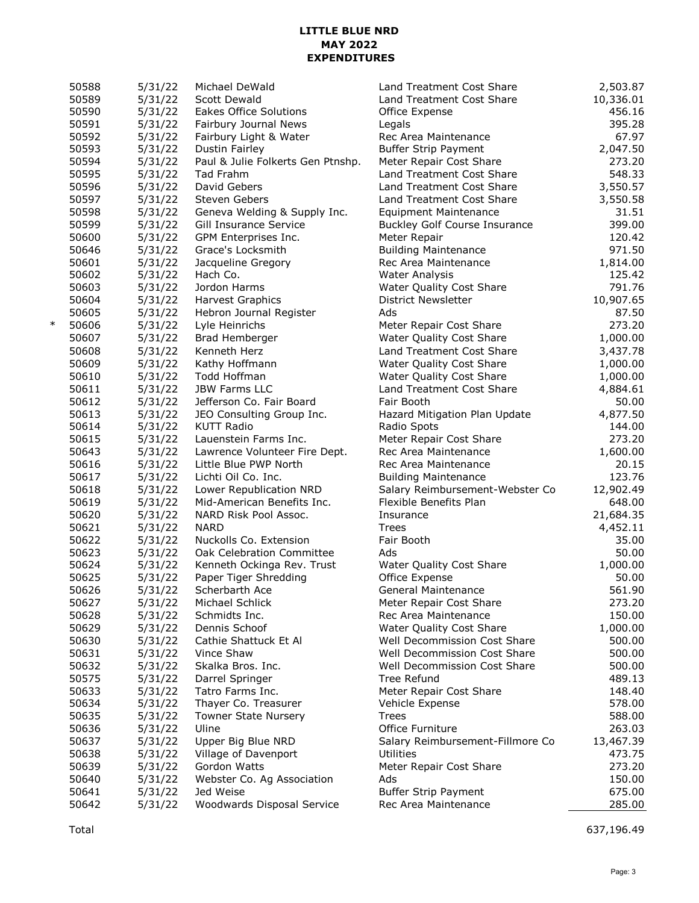### **LITTLE BLUE NRD MAY 2022 EXPENDITURES**

| 50588           | 5/31/22 | Michael DeWald                    | Land Treatment Cost Share            | 2,503.87  |
|-----------------|---------|-----------------------------------|--------------------------------------|-----------|
| 50589           | 5/31/22 | Scott Dewald                      | Land Treatment Cost Share            | 10,336.01 |
| 50590           | 5/31/22 | <b>Eakes Office Solutions</b>     | Office Expense                       | 456.16    |
| 50591           | 5/31/22 | Fairbury Journal News             | Legals                               | 395.28    |
| 50592           | 5/31/22 | Fairbury Light & Water            | Rec Area Maintenance                 | 67.97     |
| 50593           | 5/31/22 | Dustin Fairley                    | <b>Buffer Strip Payment</b>          | 2,047.50  |
| 50594           | 5/31/22 | Paul & Julie Folkerts Gen Ptnshp. | Meter Repair Cost Share              | 273.20    |
| 50595           | 5/31/22 | Tad Frahm                         | Land Treatment Cost Share            | 548.33    |
| 50596           | 5/31/22 | David Gebers                      | Land Treatment Cost Share            | 3,550.57  |
| 50597           | 5/31/22 | <b>Steven Gebers</b>              | Land Treatment Cost Share            | 3,550.58  |
| 50598           | 5/31/22 | Geneva Welding & Supply Inc.      | <b>Equipment Maintenance</b>         | 31.51     |
| 50599           | 5/31/22 | Gill Insurance Service            | <b>Buckley Golf Course Insurance</b> | 399.00    |
| 50600           | 5/31/22 | GPM Enterprises Inc.              | Meter Repair                         | 120.42    |
| 50646           | 5/31/22 | Grace's Locksmith                 | <b>Building Maintenance</b>          | 971.50    |
| 50601           | 5/31/22 | Jacqueline Gregory                | Rec Area Maintenance                 | 1,814.00  |
| 50602           | 5/31/22 | Hach Co.                          | <b>Water Analysis</b>                | 125.42    |
| 50603           | 5/31/22 | Jordon Harms                      | Water Quality Cost Share             | 791.76    |
| 50604           | 5/31/22 | Harvest Graphics                  | District Newsletter                  | 10,907.65 |
| 50605           | 5/31/22 | Hebron Journal Register           | Ads                                  | 87.50     |
| $\ast$<br>50606 | 5/31/22 | Lyle Heinrichs                    | Meter Repair Cost Share              | 273.20    |
| 50607           | 5/31/22 | Brad Hemberger                    | Water Quality Cost Share             | 1,000.00  |
| 50608           | 5/31/22 | Kenneth Herz                      | Land Treatment Cost Share            | 3,437.78  |
| 50609           | 5/31/22 | Kathy Hoffmann                    |                                      |           |
| 50610           |         | Todd Hoffman                      | Water Quality Cost Share             | 1,000.00  |
|                 | 5/31/22 |                                   | Water Quality Cost Share             | 1,000.00  |
| 50611           | 5/31/22 | <b>JBW Farms LLC</b>              | Land Treatment Cost Share            | 4,884.61  |
| 50612           | 5/31/22 | Jefferson Co. Fair Board          | Fair Booth                           | 50.00     |
| 50613           | 5/31/22 | JEO Consulting Group Inc.         | Hazard Mitigation Plan Update        | 4,877.50  |
| 50614           | 5/31/22 | <b>KUTT Radio</b>                 | Radio Spots                          | 144.00    |
| 50615           | 5/31/22 | Lauenstein Farms Inc.             | Meter Repair Cost Share              | 273.20    |
| 50643           | 5/31/22 | Lawrence Volunteer Fire Dept.     | Rec Area Maintenance                 | 1,600.00  |
| 50616           | 5/31/22 | Little Blue PWP North             | Rec Area Maintenance                 | 20.15     |
| 50617           | 5/31/22 | Lichti Oil Co. Inc.               | <b>Building Maintenance</b>          | 123.76    |
| 50618           | 5/31/22 | Lower Republication NRD           | Salary Reimbursement-Webster Co      | 12,902.49 |
| 50619           | 5/31/22 | Mid-American Benefits Inc.        | Flexible Benefits Plan               | 648.00    |
| 50620           | 5/31/22 | NARD Risk Pool Assoc.             | Insurance                            | 21,684.35 |
| 50621           | 5/31/22 | <b>NARD</b>                       | <b>Trees</b>                         | 4,452.11  |
| 50622           | 5/31/22 | Nuckolls Co. Extension            | Fair Booth                           | 35.00     |
| 50623           | 5/31/22 | Oak Celebration Committee         | Ads                                  | 50.00     |
| 50624           | 5/31/22 | Kenneth Ockinga Rev. Trust        | Water Quality Cost Share             | 1,000.00  |
| 50625           | 5/31/22 | Paper Tiger Shredding             | Office Expense                       | 50.00     |
| 50626           | 5/31/22 | Scherbarth Ace                    | General Maintenance                  | 561.90    |
| 50627           | 5/31/22 | Michael Schlick                   | Meter Repair Cost Share              | 273.20    |
| 50628           | 5/31/22 | Schmidts Inc.                     | Rec Area Maintenance                 | 150.00    |
| 50629           | 5/31/22 | Dennis Schoof                     | Water Quality Cost Share             | 1,000.00  |
| 50630           | 5/31/22 | Cathie Shattuck Et Al             | Well Decommission Cost Share         | 500.00    |
| 50631           | 5/31/22 | Vince Shaw                        | Well Decommission Cost Share         | 500.00    |
| 50632           | 5/31/22 | Skalka Bros. Inc.                 | Well Decommission Cost Share         | 500.00    |
| 50575           | 5/31/22 | Darrel Springer                   | Tree Refund                          | 489.13    |
| 50633           | 5/31/22 | Tatro Farms Inc.                  | Meter Repair Cost Share              | 148.40    |
| 50634           | 5/31/22 | Thayer Co. Treasurer              | Vehicle Expense                      | 578.00    |
| 50635           | 5/31/22 | <b>Towner State Nursery</b>       | <b>Trees</b>                         | 588.00    |
| 50636           | 5/31/22 | Uline                             | Office Furniture                     | 263.03    |
| 50637           | 5/31/22 | Upper Big Blue NRD                | Salary Reimbursement-Fillmore Co     | 13,467.39 |
| 50638           | 5/31/22 | Village of Davenport              | Utilities                            | 473.75    |
| 50639           | 5/31/22 | Gordon Watts                      | Meter Repair Cost Share              | 273.20    |
| 50640           | 5/31/22 | Webster Co. Ag Association        | Ads                                  | 150.00    |
| 50641           | 5/31/22 | Jed Weise                         | <b>Buffer Strip Payment</b>          | 675.00    |
| 50642           | 5/31/22 | Woodwards Disposal Service        | Rec Area Maintenance                 | 285.00    |

Total 637,196.49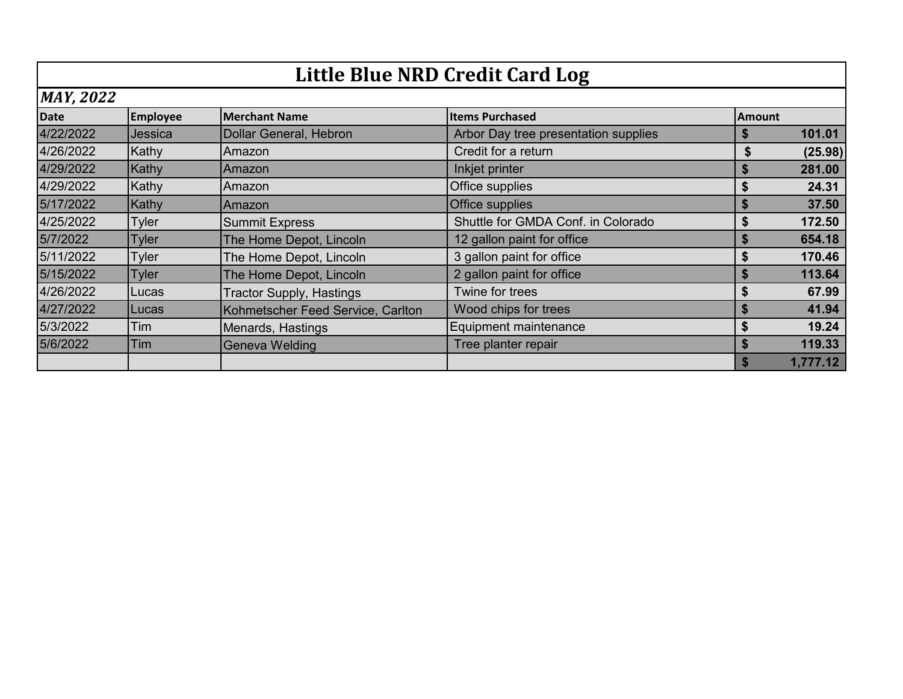|                  | Little Blue NRD Credit Card Log |                                   |                                      |               |          |  |  |
|------------------|---------------------------------|-----------------------------------|--------------------------------------|---------------|----------|--|--|
| <b>MAY, 2022</b> |                                 |                                   |                                      |               |          |  |  |
| <b>Date</b>      | <b>Employee</b>                 | <b>Merchant Name</b>              | <b>Items Purchased</b>               | <b>Amount</b> |          |  |  |
| 4/22/2022        | Jessica                         | Dollar General, Hebron            | Arbor Day tree presentation supplies |               | 101.01   |  |  |
| 4/26/2022        | Kathy                           | Amazon                            | Credit for a return                  | \$            | (25.98)  |  |  |
| 4/29/2022        | Kathy                           | Amazon                            | Inkjet printer                       |               | 281.00   |  |  |
| 4/29/2022        | Kathy                           | Amazon                            | Office supplies                      |               | 24.31    |  |  |
| 5/17/2022        | Kathy                           | Amazon                            | Office supplies                      |               | 37.50    |  |  |
| 4/25/2022        | <b>Tyler</b>                    | <b>Summit Express</b>             | Shuttle for GMDA Conf. in Colorado   |               | 172.50   |  |  |
| 5/7/2022         | <b>Tyler</b>                    | The Home Depot, Lincoln           | 12 gallon paint for office           |               | 654.18   |  |  |
| 5/11/2022        | <b>Tyler</b>                    | The Home Depot, Lincoln           | 3 gallon paint for office            |               | 170.46   |  |  |
| 5/15/2022        | <b>Tyler</b>                    | The Home Depot, Lincoln           | 2 gallon paint for office            | \$            | 113.64   |  |  |
| 4/26/2022        | <b>Lucas</b>                    | <b>Tractor Supply, Hastings</b>   | Twine for trees                      | S             | 67.99    |  |  |
| 4/27/2022        | <b>Lucas</b>                    | Kohmetscher Feed Service, Carlton | Wood chips for trees                 |               | 41.94    |  |  |
| 5/3/2022         | Tim                             | Menards, Hastings                 | Equipment maintenance                |               | 19.24    |  |  |
| 5/6/2022         | Tim                             | Geneva Welding                    | Tree planter repair                  |               | 119.33   |  |  |
|                  |                                 |                                   |                                      |               | 1,777.12 |  |  |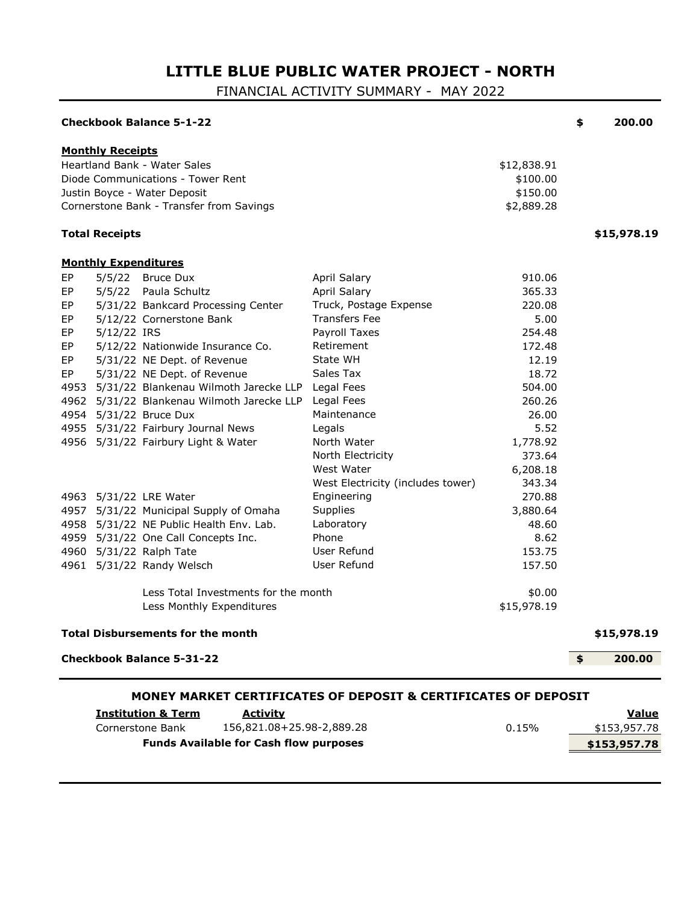# **LITTLE BLUE PUBLIC WATER PROJECT - NORTH**

FINANCIAL ACTIVITY SUMMARY - MAY 2022

|                                                      |                             | <b>Checkbook Balance 5-1-22</b>                                                                                                                                                                                                                                                                                                                                                                                                                                                                                    |                                                                                                                                                                                                                                                                                                                             |                                                                                                                                                                                          | \$<br>200.00                 |
|------------------------------------------------------|-----------------------------|--------------------------------------------------------------------------------------------------------------------------------------------------------------------------------------------------------------------------------------------------------------------------------------------------------------------------------------------------------------------------------------------------------------------------------------------------------------------------------------------------------------------|-----------------------------------------------------------------------------------------------------------------------------------------------------------------------------------------------------------------------------------------------------------------------------------------------------------------------------|------------------------------------------------------------------------------------------------------------------------------------------------------------------------------------------|------------------------------|
|                                                      | <b>Monthly Receipts</b>     | Heartland Bank - Water Sales<br>Diode Communications - Tower Rent<br>Justin Boyce - Water Deposit<br>Cornerstone Bank - Transfer from Savings                                                                                                                                                                                                                                                                                                                                                                      |                                                                                                                                                                                                                                                                                                                             | \$12,838.91<br>\$100.00<br>\$150.00<br>\$2,889.28                                                                                                                                        |                              |
|                                                      | <b>Total Receipts</b>       |                                                                                                                                                                                                                                                                                                                                                                                                                                                                                                                    |                                                                                                                                                                                                                                                                                                                             |                                                                                                                                                                                          | \$15,978.19                  |
|                                                      | <b>Monthly Expenditures</b> |                                                                                                                                                                                                                                                                                                                                                                                                                                                                                                                    |                                                                                                                                                                                                                                                                                                                             |                                                                                                                                                                                          |                              |
| EP<br>EP<br>EP<br>EP<br>EP<br>EP<br>EP<br>EP<br>4953 | 5/5/22<br>5/12/22 IRS       | 5/5/22 Bruce Dux<br>Paula Schultz<br>5/31/22 Bankcard Processing Center<br>5/12/22 Cornerstone Bank<br>5/12/22 Nationwide Insurance Co.<br>5/31/22 NE Dept. of Revenue<br>5/31/22 NE Dept. of Revenue<br>5/31/22 Blankenau Wilmoth Jarecke LLP<br>4962 5/31/22 Blankenau Wilmoth Jarecke LLP<br>4954 5/31/22 Bruce Dux<br>4955 5/31/22 Fairbury Journal News<br>4956 5/31/22 Fairbury Light & Water<br>4963 5/31/22 LRE Water<br>4957 5/31/22 Municipal Supply of Omaha<br>4958 5/31/22 NE Public Health Env. Lab. | April Salary<br>April Salary<br>Truck, Postage Expense<br><b>Transfers Fee</b><br>Payroll Taxes<br>Retirement<br>State WH<br>Sales Tax<br>Legal Fees<br>Legal Fees<br>Maintenance<br>Legals<br>North Water<br>North Electricity<br>West Water<br>West Electricity (includes tower)<br>Engineering<br>Supplies<br>Laboratory | 910.06<br>365.33<br>220.08<br>5.00<br>254.48<br>172.48<br>12.19<br>18.72<br>504.00<br>260.26<br>26.00<br>5.52<br>1,778.92<br>373.64<br>6,208.18<br>343.34<br>270.88<br>3,880.64<br>48.60 |                              |
| 4961                                                 |                             | 4959 5/31/22 One Call Concepts Inc.<br>4960 5/31/22 Ralph Tate<br>5/31/22 Randy Welsch                                                                                                                                                                                                                                                                                                                                                                                                                             | Phone<br>User Refund<br>User Refund                                                                                                                                                                                                                                                                                         | 8.62<br>153.75<br>157.50                                                                                                                                                                 |                              |
|                                                      |                             | Less Total Investments for the month<br>Less Monthly Expenditures                                                                                                                                                                                                                                                                                                                                                                                                                                                  |                                                                                                                                                                                                                                                                                                                             | \$0.00<br>\$15,978.19                                                                                                                                                                    |                              |
|                                                      |                             | <b>Total Disbursements for the month</b>                                                                                                                                                                                                                                                                                                                                                                                                                                                                           |                                                                                                                                                                                                                                                                                                                             |                                                                                                                                                                                          | \$15,978.19                  |
|                                                      |                             | <b>Checkbook Balance 5-31-22</b>                                                                                                                                                                                                                                                                                                                                                                                                                                                                                   |                                                                                                                                                                                                                                                                                                                             |                                                                                                                                                                                          | \$<br>200.00                 |
|                                                      |                             |                                                                                                                                                                                                                                                                                                                                                                                                                                                                                                                    | <b>MONEY MARKET CERTIFICATES OF DEPOSIT &amp; CERTIFICATES OF DEPOSIT</b>                                                                                                                                                                                                                                                   |                                                                                                                                                                                          |                              |
|                                                      |                             | <b>Institution &amp; Term</b><br><b>Activity</b><br>156,821.08+25.98-2,889.28<br>Cornerstone Bank                                                                                                                                                                                                                                                                                                                                                                                                                  |                                                                                                                                                                                                                                                                                                                             | 0.15%                                                                                                                                                                                    | <b>Value</b><br>\$153,957.78 |
|                                                      |                             | <b>Funds Available for Cash flow purposes</b>                                                                                                                                                                                                                                                                                                                                                                                                                                                                      |                                                                                                                                                                                                                                                                                                                             |                                                                                                                                                                                          | \$153,957.78                 |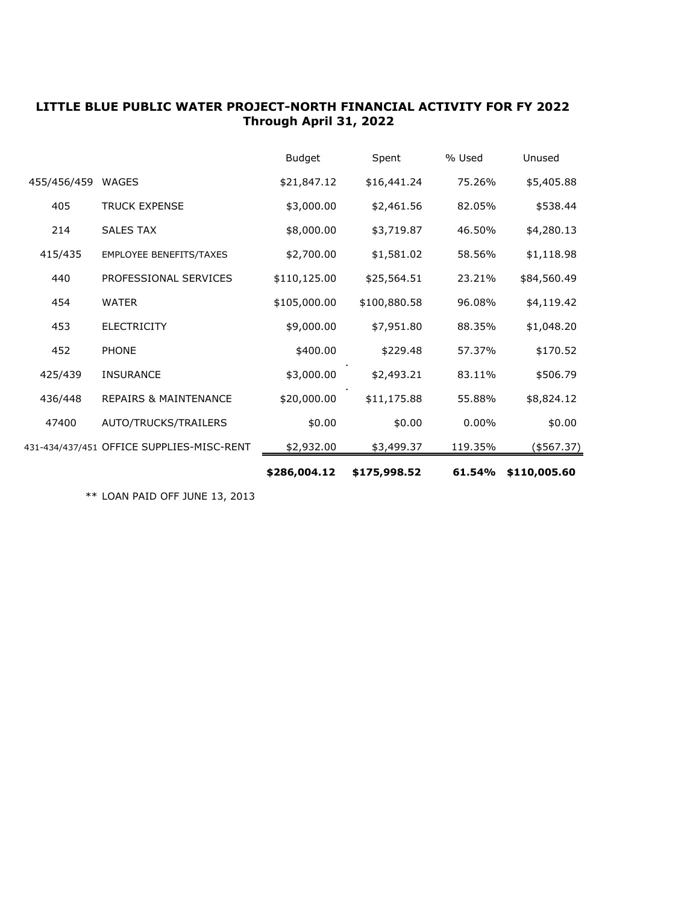### **LITTLE BLUE PUBLIC WATER PROJECT-NORTH FINANCIAL ACTIVITY FOR FY 2022 Through April 31, 2022**

|             |                                           | \$286,004.12  | \$175,998.52 | 61.54%   | \$110,005.60 |
|-------------|-------------------------------------------|---------------|--------------|----------|--------------|
|             | 431-434/437/451 OFFICE SUPPLIES-MISC-RENT | \$2,932.00    | \$3,499.37   | 119.35%  | (\$567.37)   |
| 47400       | AUTO/TRUCKS/TRAILERS                      | \$0.00        | \$0.00       | $0.00\%$ | \$0.00       |
| 436/448     | <b>REPAIRS &amp; MAINTENANCE</b>          | \$20,000.00   | \$11,175.88  | 55.88%   | \$8,824.12   |
| 425/439     | <b>INSURANCE</b>                          | \$3,000.00    | \$2,493.21   | 83.11%   | \$506.79     |
| 452         | <b>PHONE</b>                              | \$400.00      | \$229.48     | 57.37%   | \$170.52     |
| 453         | <b>ELECTRICITY</b>                        | \$9,000.00    | \$7,951.80   | 88.35%   | \$1,048.20   |
| 454         | <b>WATER</b>                              | \$105,000.00  | \$100,880.58 | 96.08%   | \$4,119.42   |
| 440         | PROFESSIONAL SERVICES                     | \$110,125.00  | \$25,564.51  | 23.21%   | \$84,560.49  |
| 415/435     | <b>EMPLOYEE BENEFITS/TAXES</b>            | \$2,700.00    | \$1,581.02   | 58.56%   | \$1,118.98   |
| 214         | <b>SALES TAX</b>                          | \$8,000.00    | \$3,719.87   | 46.50%   | \$4,280.13   |
| 405         | <b>TRUCK EXPENSE</b>                      | \$3,000.00    | \$2,461.56   | 82.05%   | \$538.44     |
| 455/456/459 | <b>WAGES</b>                              | \$21,847.12   | \$16,441.24  | 75.26%   | \$5,405.88   |
|             |                                           | <b>Budget</b> | Spent        | % Used   | Unused       |

\*\* LOAN PAID OFF JUNE 13, 2013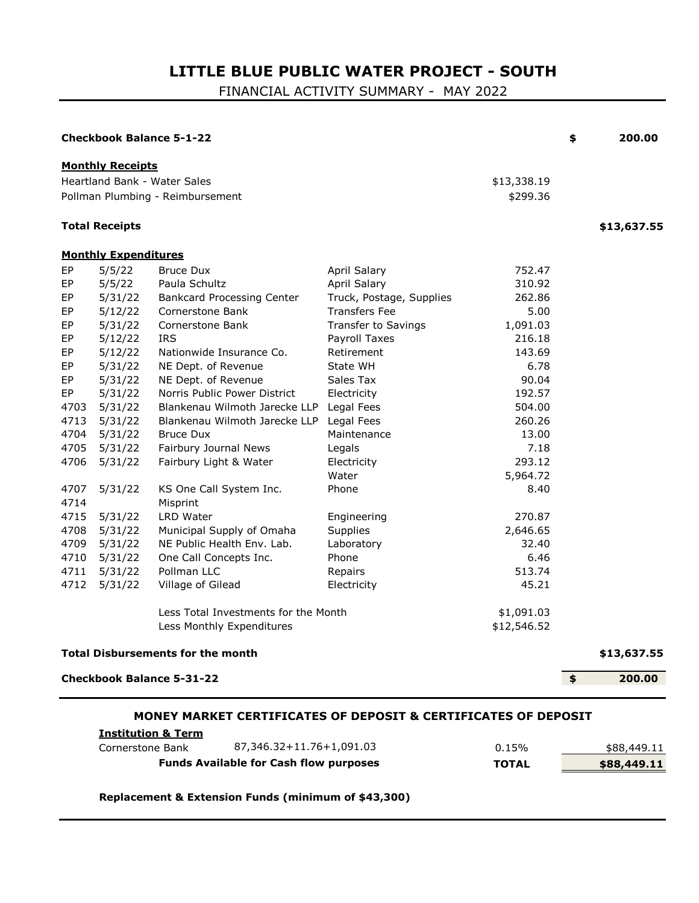# **LITTLE BLUE PUBLIC WATER PROJECT - SOUTH**

FINANCIAL ACTIVITY SUMMARY - MAY 2022

|      |                             | <b>Checkbook Balance 5-1-22</b>                                           |                            |             | \$<br>200.00 |
|------|-----------------------------|---------------------------------------------------------------------------|----------------------------|-------------|--------------|
|      | <b>Monthly Receipts</b>     |                                                                           |                            |             |              |
|      |                             | Heartland Bank - Water Sales                                              |                            | \$13,338.19 |              |
|      |                             | Pollman Plumbing - Reimbursement                                          |                            | \$299.36    |              |
|      | <b>Total Receipts</b>       |                                                                           |                            |             | \$13,637.55  |
|      | <b>Monthly Expenditures</b> |                                                                           |                            |             |              |
| EP   | 5/5/22                      | <b>Bruce Dux</b>                                                          | <b>April Salary</b>        | 752.47      |              |
| EP   | 5/5/22                      | Paula Schultz                                                             | April Salary               | 310.92      |              |
| EP   | 5/31/22                     | <b>Bankcard Processing Center</b>                                         | Truck, Postage, Supplies   | 262.86      |              |
| EP   | 5/12/22                     | Cornerstone Bank                                                          | <b>Transfers Fee</b>       | 5.00        |              |
| EP   | 5/31/22                     | Cornerstone Bank                                                          | <b>Transfer to Savings</b> | 1,091.03    |              |
| EP   | 5/12/22                     | <b>IRS</b>                                                                | Payroll Taxes              | 216.18      |              |
| EP   | 5/12/22                     | Nationwide Insurance Co.                                                  | Retirement                 | 143.69      |              |
| EP   | 5/31/22                     | NE Dept. of Revenue                                                       | State WH                   | 6.78        |              |
| EP   | 5/31/22                     | NE Dept. of Revenue                                                       | Sales Tax                  | 90.04       |              |
| EP   | 5/31/22                     | Norris Public Power District                                              | Electricity                | 192.57      |              |
| 4703 | 5/31/22                     | Blankenau Wilmoth Jarecke LLP                                             | Legal Fees                 | 504.00      |              |
| 4713 | 5/31/22                     | Blankenau Wilmoth Jarecke LLP                                             | Legal Fees                 | 260.26      |              |
| 4704 | 5/31/22                     | <b>Bruce Dux</b>                                                          | Maintenance                | 13.00       |              |
| 4705 | 5/31/22                     | Fairbury Journal News                                                     | Legals                     | 7.18        |              |
| 4706 | 5/31/22                     | Fairbury Light & Water                                                    | Electricity                | 293.12      |              |
|      |                             |                                                                           | Water                      | 5,964.72    |              |
| 4707 | 5/31/22                     | KS One Call System Inc.                                                   | Phone                      | 8.40        |              |
| 4714 |                             | Misprint                                                                  |                            |             |              |
| 4715 | 5/31/22                     | LRD Water                                                                 | Engineering                | 270.87      |              |
| 4708 | 5/31/22                     | Municipal Supply of Omaha                                                 | Supplies                   | 2,646.65    |              |
| 4709 | 5/31/22                     | NE Public Health Env. Lab.                                                | Laboratory                 | 32.40       |              |
| 4710 | 5/31/22                     | One Call Concepts Inc.                                                    | Phone                      | 6.46        |              |
| 4711 | 5/31/22                     | Pollman LLC                                                               | Repairs                    | 513.74      |              |
| 4712 | 5/31/22                     | Village of Gilead                                                         | Electricity                | 45.21       |              |
|      |                             | Less Total Investments for the Month                                      |                            | \$1,091.03  |              |
|      |                             | Less Monthly Expenditures                                                 |                            | \$12,546.52 |              |
|      |                             | <b>Total Disbursements for the month</b>                                  |                            |             | \$13,637.55  |
|      |                             | <b>Checkbook Balance 5-31-22</b>                                          |                            |             | \$<br>200.00 |
|      |                             | <b>MONEY MARKET CERTIFICATES OF DEPOSIT &amp; CERTIFICATES OF DEPOSIT</b> |                            |             |              |
|      |                             | <b>Institution &amp; Term</b>                                             |                            |             |              |

| Cornerstone Bank                              | 87,346.32+11.76+1,091.03 | 0.15%        | \$88,449.11 |
|-----------------------------------------------|--------------------------|--------------|-------------|
| <b>Funds Available for Cash flow purposes</b> |                          | <b>TOTAL</b> | \$88,449.11 |

**Replacement & Extension Funds (minimum of \$43,300)**